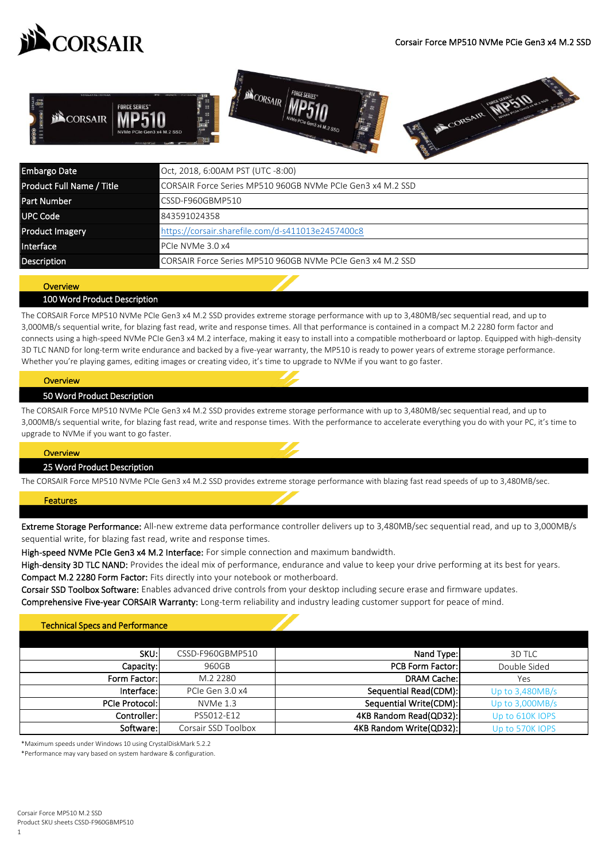



| Embargo Date              | Oct, 2018, 6:00AM PST (UTC -8:00)                          |  |
|---------------------------|------------------------------------------------------------|--|
| Product Full Name / Title | CORSAIR Force Series MP510 960GB NVMe PCIe Gen3 x4 M.2 SSD |  |
| <b>Part Number</b>        | CSSD-F960GBMP510                                           |  |
| <b>UPC Code</b>           | 843591024358                                               |  |
| <b>Product Imagery</b>    | https://corsair.sharefile.com/d-s411013e2457400c8          |  |
| Interface                 | PCIe NVMe 3.0 x4                                           |  |
| Description               | CORSAIR Force Series MP510 960GB NVMe PCIe Gen3 x4 M.2 SSD |  |

# **Overview**

### 100 Word Product Description

The CORSAIR Force MP510 NVMe PCIe Gen3 x4 M.2 SSD provides extreme storage performance with up to 3,480MB/sec sequential read, and up to 3,000MB/s sequential write, for blazing fast read, write and response times. All that performance is contained in a compact M.2 2280 form factor and connects using a high-speed NVMe PCIe Gen3 x4 M.2 interface, making it easy to install into a compatible motherboard or laptop. Equipped with high-density 3D TLC NAND for long-term write endurance and backed by a five-year warranty, the MP510 is ready to power years of extreme storage performance. Whether you're playing games, editing images or creating video, it's time to upgrade to NVMe if you want to go faster.

#### <u>overview</u> **Overview**

### 50 Word Product Description

The CORSAIR Force MP510 NVMe PCIe Gen3 x4 M.2 SSD provides extreme storage performance with up to 3,480MB/sec sequential read, and up to 3,000MB/s sequential write, for blazing fast read, write and response times. With the performance to accelerate everything you do with your PC, it's time to upgrade to NVMe if you want to go faster.

#### **Overview**

#### 25 Word Product Description

The CORSAIR Force MP510 NVMe PCIe Gen3 x4 M.2 SSD provides extreme storage performance with blazing fast read speeds of up to 3,480MB/sec.

#### Features

Extreme Storage Performance: All-new extreme data performance controller delivers up to 3,480MB/sec sequential read, and up to 3,000MB/s sequential write, for blazing fast read, write and response times.

High-speed NVMe PCIe Gen3 x4 M.2 Interface: For simple connection and maximum bandwidth.

High-density 3D TLC NAND: Provides the ideal mix of performance, endurance and value to keep your drive performing at its best for years. Compact M.2 2280 Form Factor: Fits directly into your notebook or motherboard.

Corsair SSD Toolbox Software: Enables advanced drive controls from your desktop including secure erase and firmware updates.

Comprehensive Five-year CORSAIR Warranty: Long-term reliability and industry leading customer support for peace of mind.

### Technical Specs and Performance

| SKU:                  | CSSD-F960GBMP510    | Nand Type:              | 3D TLC            |
|-----------------------|---------------------|-------------------------|-------------------|
| Capacity:             | 960GB               | <b>PCB Form Factor:</b> | Double Sided      |
| Form Factor:          | M.2 2280            | <b>DRAM Cache:</b>      | Yes               |
| Interface:            | PCIe Gen 3.0 x4     | Sequential Read(CDM):   | Up to $3,480MB/s$ |
| <b>PCIe Protocol:</b> | $NVMe$ 1.3          | Sequential Write(CDM):  | Up to $3,000MB/s$ |
| Controller: l         | PS5012-E12          | 4KB Random Read(QD32):  | Up to 610K IOPS   |
| Software:             | Corsair SSD Toolbox | 4KB Random Write(QD32): | Up to 570K IOPS   |

\*Maximum speeds under Windows 10 using CrystalDiskMark 5.2.2

\*Performance may vary based on system hardware & configuration.